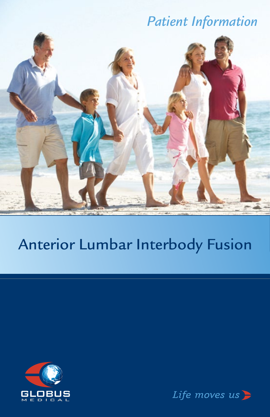# *Patient Information*



# Anterior Lumbar Interbody Fusion



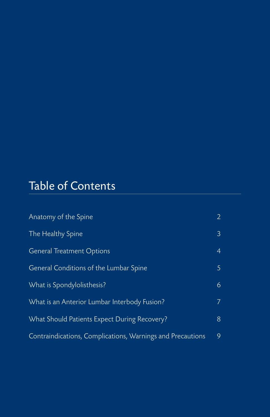# Table of Contents

| Anatomy of the Spine                                       | $\mathbf{2}^{\prime}$ |
|------------------------------------------------------------|-----------------------|
| The Healthy Spine                                          | 3                     |
| <b>General Treatment Options</b>                           | $\overline{4}$        |
| General Conditions of the Lumbar Spine                     | 5                     |
| What is Spondylolisthesis?                                 | 6                     |
| What is an Anterior Lumbar Interbody Fusion?               | 7.                    |
| What Should Patients Expect During Recovery?               | 8                     |
| Contraindications, Complications, Warnings and Precautions | 9                     |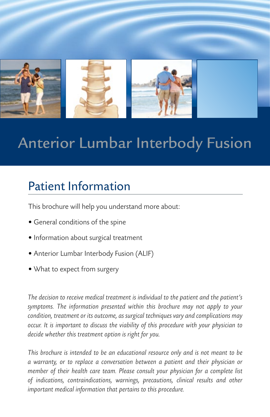

# Anterior Lumbar Interbody Fusion

# Patient Information

This brochure will help you understand more about:

- General conditions of the spine
- Information about surgical treatment
- Anterior Lumbar Interbody Fusion (ALIF)
- What to expect from surgery

*The decision to receive medical treatment is individual to the patient and the patient's symptoms. The information presented within this brochure may not apply to your condition, treatment or its outcome, as surgical techniques vary and complications may occur. It is important to discuss the viability of this procedure with your physician to decide whether this treatment option is right for you.*

*This brochure is intended to be an educational resource only and is not meant to be a warranty, or to replace a conversation between a patient and their physician or member of their health care team. Please consult your physician for a complete list of indications, contraindications, warnings, precautions, clinical results and other important medical information that pertains to this procedure.*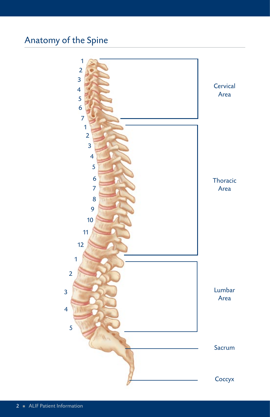# Anatomy of the Spine

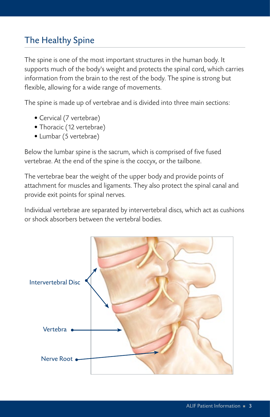## The Healthy Spine

The spine is one of the most important structures in the human body. It supports much of the body's weight and protects the spinal cord, which carries information from the brain to the rest of the body. The spine is strong but flexible, allowing for a wide range of movements.

The spine is made up of vertebrae and is divided into three main sections:

- Cervical (7 vertebrae)
- Thoracic (12 vertebrae)
- Lumbar (5 vertebrae)

Below the lumbar spine is the sacrum, which is comprised of five fused vertebrae. At the end of the spine is the coccyx, or the tailbone.

The vertebrae bear the weight of the upper body and provide points of attachment for muscles and ligaments. They also protect the spinal canal and provide exit points for spinal nerves.

Individual vertebrae are separated by intervertebral discs, which act as cushions or shock absorbers between the vertebral bodies.

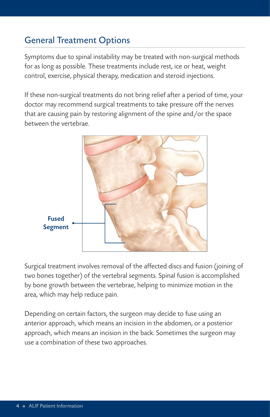## General Treatment Options

Symptoms due to spinal instability may be treated with non-surgical methods for as long as possible. These treatments include rest, ice or heat, weight control, exercise, physical therapy, medication and steroid injections.

If these non-surgical treatments do not bring relief after a period of time, your doctor may recommend surgical treatments to take pressure off the nerves that are causing pain by restoring alignment of the spine and/or the space between the vertebrae.



Surgical treatment involves removal of the affected discs and fusion (joining of two bones together) of the vertebral segments. Spinal fusion is accomplished by bone growth between the vertebrae, helping to minimize motion in the area, which may help reduce pain.

Depending on certain factors, the surgeon may decide to fuse using an anterior approach, which means an incision in the abdomen, or a posterior approach, which means an incision in the back. Sometimes the surgeon may use a combination of these two approaches.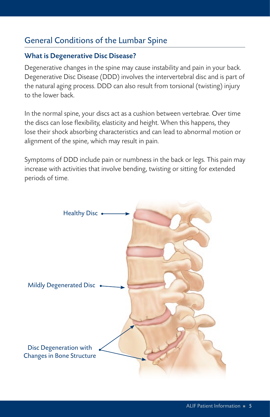#### General Conditions of the Lumbar Spine

#### What is Degenerative Disc Disease?

Degenerative changes in the spine may cause instability and pain in your back. Degenerative Disc Disease (DDD) involves the intervertebral disc and is part of the natural aging process. DDD can also result from torsional (twisting) injury to the lower back.

In the normal spine, your discs act as a cushion between vertebrae. Over time the discs can lose flexibility, elasticity and height. When this happens, they lose their shock absorbing characteristics and can lead to abnormal motion or alignment of the spine, which may result in pain.

Symptoms of DDD include pain or numbness in the back or legs. This pain may increase with activities that involve bending, twisting or sitting for extended periods of time.

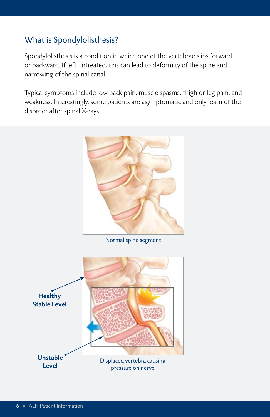## What is Spondylolisthesis?

Spondylolisthesis is a condition in which one of the vertebrae slips forward or backward. If left untreated, this can lead to deformity of the spine and narrowing of the spinal canal.

Typical symptoms include low back pain, muscle spasms, thigh or leg pain, and weakness. Interestingly, some patients are asymptomatic and only learn of the disorder after spinal X-rays.



Normal spine segment

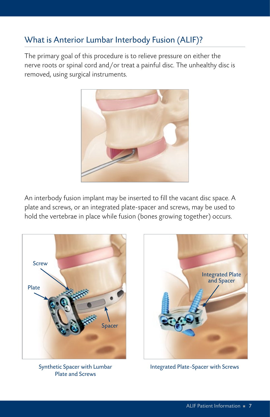## What is Anterior Lumbar Interbody Fusion (ALIF)?

The primary goal of this procedure is to relieve pressure on either the nerve roots or spinal cord and/or treat a painful disc. The unhealthy disc is removed, using surgical instruments.



An interbody fusion implant may be inserted to fill the vacant disc space. A plate and screws, or an integrated plate-spacer and screws, may be used to hold the vertebrae in place while fusion (bones growing together) occurs.



Synthetic Spacer with Lumbar Plate and Screws



Integrated Plate-Spacer with Screws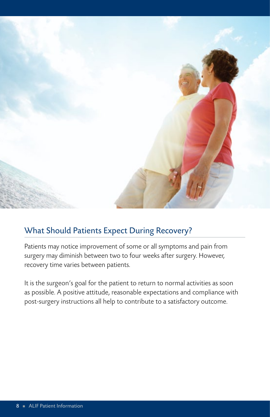

### What Should Patients Expect During Recovery?

Patients may notice improvement of some or all symptoms and pain from surgery may diminish between two to four weeks after surgery. However, recovery time varies between patients.

It is the surgeon's goal for the patient to return to normal activities as soon as possible. A positive attitude, reasonable expectations and compliance with post-surgery instructions all help to contribute to a satisfactory outcome.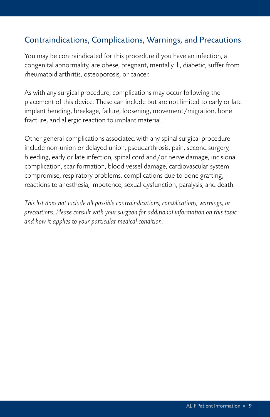#### Contraindications, Complications, Warnings, and Precautions

You may be contraindicated for this procedure if you have an infection, a congenital abnormality, are obese, pregnant, mentally ill, diabetic, suffer from rheumatoid arthritis, osteoporosis, or cancer.

As with any surgical procedure, complications may occur following the placement of this device. These can include but are not limited to early or late implant bending, breakage, failure, loosening, movement/migration, bone fracture, and allergic reaction to implant material.

Other general complications associated with any spinal surgical procedure include non-union or delayed union, pseudarthrosis, pain, second surgery, bleeding, early or late infection, spinal cord and/or nerve damage, incisional complication, scar formation, blood vessel damage, cardiovascular system compromise, respiratory problems, complications due to bone grafting, reactions to anesthesia, impotence, sexual dysfunction, paralysis, and death.

*This list does not include all possible contraindications, complications, warnings, or precautions. Please consult with your surgeon for additional information on this topic and how it applies to your particular medical condition.*